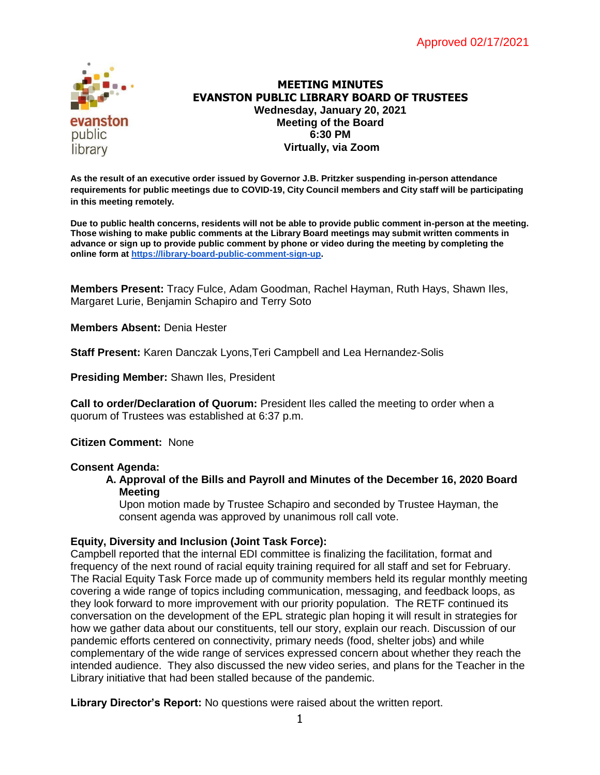

## **MEETING MINUTES EVANSTON PUBLIC LIBRARY BOARD OF TRUSTEES Wednesday, January 20, 2021 Meeting of the Board 6:30 PM Virtually, via Zoom**

**As the result of an executive order issued by Governor J.B. Pritzker suspending in-person attendance requirements for public meetings due to COVID-19, City Council members and City staff will be participating in this meeting remotely.**

**Due to public health concerns, residents will not be able to provide public comment in-person at the meeting. Those wishing to make public comments at the Library Board meetings may submit written comments in advance or sign up to provide public comment by phone or video during the meeting by completing the online form a[t](https://forms.gle/b6gzxVu3jrb1U2oF8) [https://library-board-public-comment-sign-up.](https://library-board-public-comment-sign-up/)**

**Members Present:** Tracy Fulce, Adam Goodman, Rachel Hayman, Ruth Hays, Shawn Iles, Margaret Lurie, Benjamin Schapiro and Terry Soto

**Members Absent:** Denia Hester

**Staff Present:** Karen Danczak Lyons,Teri Campbell and Lea Hernandez-Solis

**Presiding Member:** Shawn Iles, President

**Call to order/Declaration of Quorum:** President Iles called the meeting to order when a quorum of Trustees was established at 6:37 p.m.

**Citizen Comment:** None

#### **Consent Agenda:**

#### **A. Approval of the Bills and Payroll and Minutes of the December 16, 2020 Board Meeting**

Upon motion made by Trustee Schapiro and seconded by Trustee Hayman, the consent agenda was approved by unanimous roll call vote.

### **Equity, Diversity and Inclusion (Joint Task Force):**

Campbell reported that the internal EDI committee is finalizing the facilitation, format and frequency of the next round of racial equity training required for all staff and set for February. The Racial Equity Task Force made up of community members held its regular monthly meeting covering a wide range of topics including communication, messaging, and feedback loops, as they look forward to more improvement with our priority population. The RETF continued its conversation on the development of the EPL strategic plan hoping it will result in strategies for how we gather data about our constituents, tell our story, explain our reach. Discussion of our pandemic efforts centered on connectivity, primary needs (food, shelter jobs) and while complementary of the wide range of services expressed concern about whether they reach the intended audience. They also discussed the new video series, and plans for the Teacher in the Library initiative that had been stalled because of the pandemic.

**Library Director's Report:** No questions were raised about the written report.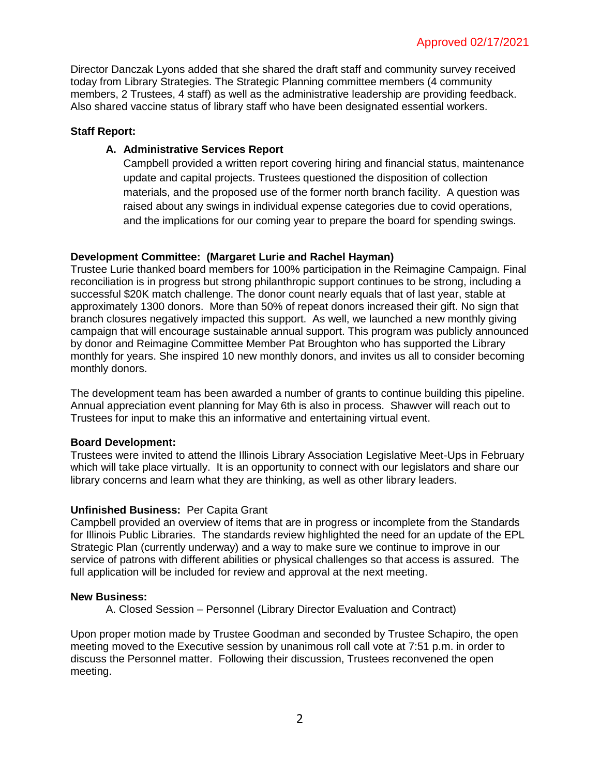Director Danczak Lyons added that she shared the draft staff and community survey received today from Library Strategies. The Strategic Planning committee members (4 community members, 2 Trustees, 4 staff) as well as the administrative leadership are providing feedback. Also shared vaccine status of library staff who have been designated essential workers.

## **Staff Report:**

# **A. Administrative Services Report**

Campbell provided a written report covering hiring and financial status, maintenance update and capital projects. Trustees questioned the disposition of collection materials, and the proposed use of the former north branch facility. A question was raised about any swings in individual expense categories due to covid operations, and the implications for our coming year to prepare the board for spending swings.

# **Development Committee: (Margaret Lurie and Rachel Hayman)**

Trustee Lurie thanked board members for 100% participation in the Reimagine Campaign. Final reconciliation is in progress but strong philanthropic support continues to be strong, including a successful \$20K match challenge. The donor count nearly equals that of last year, stable at approximately 1300 donors. More than 50% of repeat donors increased their gift. No sign that branch closures negatively impacted this support. As well, we launched a new monthly giving campaign that will encourage sustainable annual support. This program was publicly announced by donor and Reimagine Committee Member Pat Broughton who has supported the Library monthly for years. She inspired 10 new monthly donors, and invites us all to consider becoming monthly donors.

The development team has been awarded a number of grants to continue building this pipeline. Annual appreciation event planning for May 6th is also in process. Shawver will reach out to Trustees for input to make this an informative and entertaining virtual event.

### **Board Development:**

Trustees were invited to attend the Illinois Library Association Legislative Meet-Ups in February which will take place virtually. It is an opportunity to connect with our legislators and share our library concerns and learn what they are thinking, as well as other library leaders.

# **Unfinished Business:** Per Capita Grant

Campbell provided an overview of items that are in progress or incomplete from the Standards for Illinois Public Libraries. The standards review highlighted the need for an update of the EPL Strategic Plan (currently underway) and a way to make sure we continue to improve in our service of patrons with different abilities or physical challenges so that access is assured. The full application will be included for review and approval at the next meeting.

### **New Business:**

A. Closed Session – Personnel (Library Director Evaluation and Contract)

Upon proper motion made by Trustee Goodman and seconded by Trustee Schapiro, the open meeting moved to the Executive session by unanimous roll call vote at 7:51 p.m. in order to discuss the Personnel matter. Following their discussion, Trustees reconvened the open meeting.